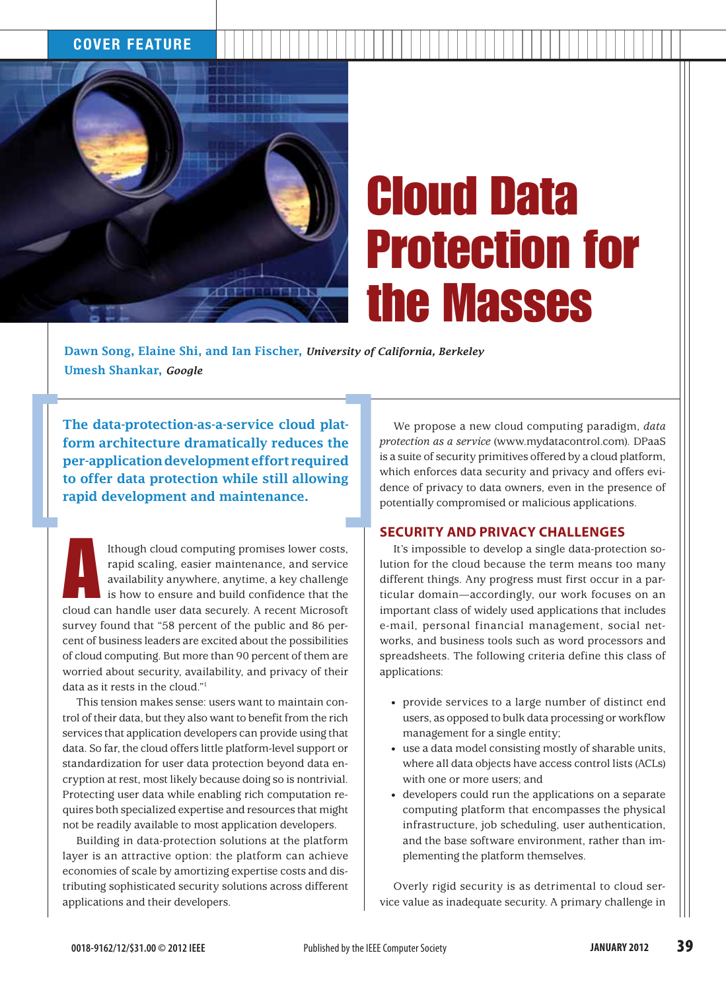## COVER FEATURE



# Cloud Data Protection for the Masses

Dawn Song, Elaine Shi, and Ian Fischer, *University of California, Berkeley* Umesh Shankar, *Google*

The data-protection-as-a-service cloud platform architecture dramatically reduces the per-application development effort required to offer data protection while still allowing rapid development and maintenance.

Ithough cloud computing promises lower costs,<br>rapid scaling, easier maintenance, and service<br>availability anywhere, anytime, a key challenge<br>is how to ensure and build confidence that the<br>cloud can handle user data securel lthough cloud computing promises lower costs, rapid scaling, easier maintenance, and service availability anywhere, anytime, a key challenge is how to ensure and build confidence that the survey found that "58 percent of the public and 86 percent of business leaders are excited about the possibilities of cloud computing. But more than 90 percent of them are worried about security, availability, and privacy of their data as it rests in the cloud."1

This tension makes sense: users want to maintain control of their data, but they also want to benefit from the rich services that application developers can provide using that data. So far, the cloud offers little platform-level support or standardization for user data protection beyond data encryption at rest, most likely because doing so is nontrivial. Protecting user data while enabling rich computation requires both specialized expertise and resources that might not be readily available to most application developers.

Building in data-protection solutions at the platform layer is an attractive option: the platform can achieve economies of scale by amortizing expertise costs and distributing sophisticated security solutions across different applications and their developers.

We propose a new cloud computing paradigm, *data protection as a service* (www.mydatacontrol.com)*.* DPaaS is a suite of security primitives offered by a cloud platform, which enforces data security and privacy and offers evidence of privacy to data owners, even in the presence of potentially compromised or malicious applications.

## **SECURITY AND PRIVACY CHALLENGES**

It's impossible to develop a single data-protection solution for the cloud because the term means too many different things. Any progress must first occur in a particular domain—accordingly, our work focuses on an important class of widely used applications that includes e-mail, personal financial management, social networks, and business tools such as word processors and spreadsheets. The following criteria define this class of applications:

- provide services to a large number of distinct end users, as opposed to bulk data processing or workflow management for a single entity;
- use a data model consisting mostly of sharable units, where all data objects have access control lists (ACLs) with one or more users; and
- developers could run the applications on a separate computing platform that encompasses the physical infrastructure, job scheduling, user authentication, and the base software environment, rather than implementing the platform themselves.

Overly rigid security is as detrimental to cloud service value as inadequate security. A primary challenge in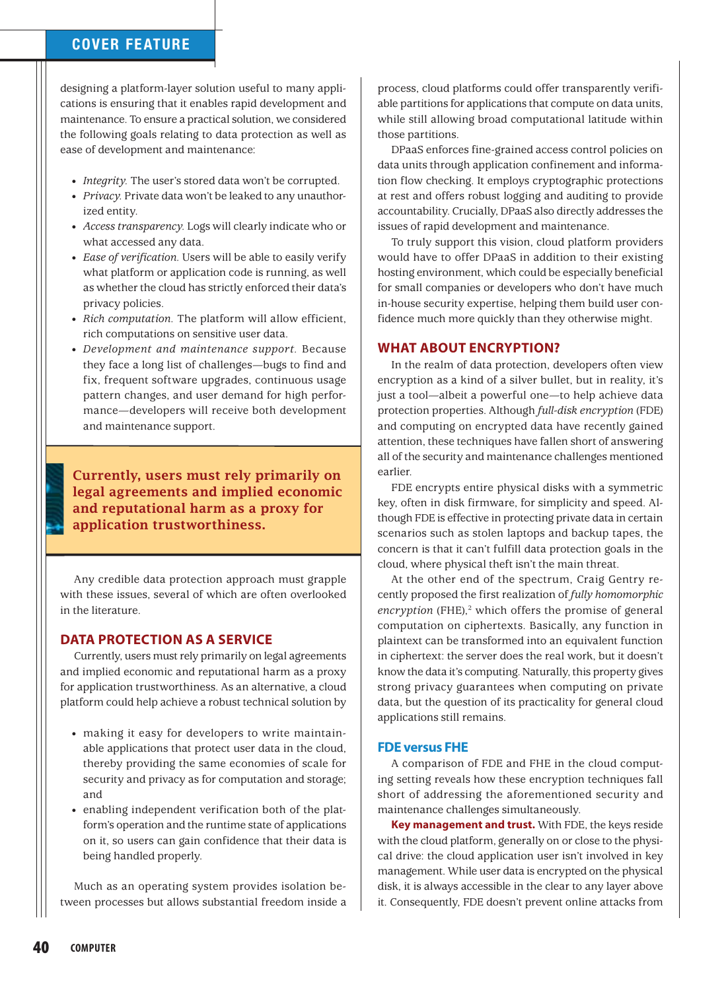# cover FEATURE

designing a platform-layer solution useful to many applications is ensuring that it enables rapid development and maintenance. To ensure a practical solution, we considered the following goals relating to data protection as well as ease of development and maintenance:

- *Integrity.* The user's stored data won't be corrupted.
- *Privacy.* Private data won't be leaked to any unauthorized entity.
- *Access transparency.* Logs will clearly indicate who or what accessed any data.
- *Ease of verification.* Users will be able to easily verify what platform or application code is running, as well as whether the cloud has strictly enforced their data's privacy policies.
- *Rich computation.* The platform will allow efficient, rich computations on sensitive user data.
- *Development and maintenance support.* Because they face a long list of challenges—bugs to find and fix, frequent software upgrades, continuous usage pattern changes, and user demand for high performance—developers will receive both development and maintenance support.

Currently, users must rely primarily on legal agreements and implied economic and reputational harm as a proxy for application trustworthiness.

Any credible data protection approach must grapple with these issues, several of which are often overlooked in the literature.

## **DATA PROTECTION AS A SERVICE**

Currently, users must rely primarily on legal agreements and implied economic and reputational harm as a proxy for application trustworthiness. As an alternative, a cloud platform could help achieve a robust technical solution by

- making it easy for developers to write maintainable applications that protect user data in the cloud, thereby providing the same economies of scale for security and privacy as for computation and storage; and
- enabling independent verification both of the platform's operation and the runtime state of applications on it, so users can gain confidence that their data is being handled properly.

Much as an operating system provides isolation between processes but allows substantial freedom inside a process, cloud platforms could offer transparently verifiable partitions for applications that compute on data units, while still allowing broad computational latitude within those partitions.

DPaaS enforces fine-grained access control policies on data units through application confinement and information flow checking. It employs cryptographic protections at rest and offers robust logging and auditing to provide accountability. Crucially, DPaaS also directly addresses the issues of rapid development and maintenance.

To truly support this vision, cloud platform providers would have to offer DPaaS in addition to their existing hosting environment, which could be especially beneficial for small companies or developers who don't have much in-house security expertise, helping them build user confidence much more quickly than they otherwise might.

#### **WHAT ABOUT ENCRYPTION?**

In the realm of data protection, developers often view encryption as a kind of a silver bullet, but in reality, it's just a tool—albeit a powerful one—to help achieve data protection properties. Although *full-disk encryption* (FDE) and computing on encrypted data have recently gained attention, these techniques have fallen short of answering all of the security and maintenance challenges mentioned earlier.

FDE encrypts entire physical disks with a symmetric key, often in disk firmware, for simplicity and speed. Although FDE is effective in protecting private data in certain scenarios such as stolen laptops and backup tapes, the concern is that it can't fulfill data protection goals in the cloud, where physical theft isn't the main threat.

At the other end of the spectrum, Craig Gentry recently proposed the first realization of *fully homomorphic*  encryption (FHE),<sup>2</sup> which offers the promise of general computation on ciphertexts. Basically, any function in plaintext can be transformed into an equivalent function in ciphertext: the server does the real work, but it doesn't know the data it's computing. Naturally, this property gives strong privacy guarantees when computing on private data, but the question of its practicality for general cloud applications still remains.

#### **FDE versus FHE**

A comparison of FDE and FHE in the cloud computing setting reveals how these encryption techniques fall short of addressing the aforementioned security and maintenance challenges simultaneously.

**Key management and trust.** With FDE, the keys reside with the cloud platform, generally on or close to the physical drive: the cloud application user isn't involved in key management. While user data is encrypted on the physical disk, it is always accessible in the clear to any layer above it. Consequently, FDE doesn't prevent online attacks from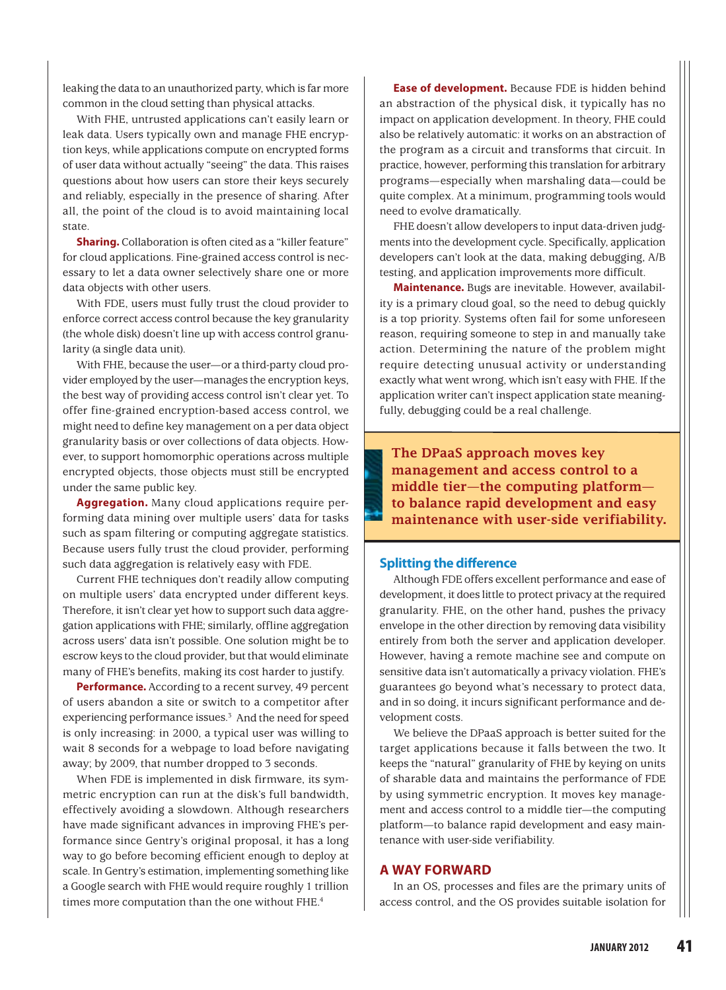leaking the data to an unauthorized party, which is far more common in the cloud setting than physical attacks.

With FHE, untrusted applications can't easily learn or leak data. Users typically own and manage FHE encryption keys, while applications compute on encrypted forms of user data without actually "seeing" the data. This raises questions about how users can store their keys securely and reliably, especially in the presence of sharing. After all, the point of the cloud is to avoid maintaining local state.

**Sharing.** Collaboration is often cited as a "killer feature" for cloud applications. Fine-grained access control is necessary to let a data owner selectively share one or more data objects with other users.

With FDE, users must fully trust the cloud provider to enforce correct access control because the key granularity (the whole disk) doesn't line up with access control granularity (a single data unit).

With FHE, because the user—or a third-party cloud provider employed by the user—manages the encryption keys, the best way of providing access control isn't clear yet. To offer fine-grained encryption-based access control, we might need to define key management on a per data object granularity basis or over collections of data objects. However, to support homomorphic operations across multiple encrypted objects, those objects must still be encrypted under the same public key.

**Aggregation.** Many cloud applications require performing data mining over multiple users' data for tasks such as spam filtering or computing aggregate statistics. Because users fully trust the cloud provider, performing such data aggregation is relatively easy with FDE.

Current FHE techniques don't readily allow computing on multiple users' data encrypted under different keys. Therefore, it isn't clear yet how to support such data aggregation applications with FHE; similarly, offline aggregation across users' data isn't possible. One solution might be to escrow keys to the cloud provider, but that would eliminate many of FHE's benefits, making its cost harder to justify.

**Performance.** According to a recent survey, 49 percent of users abandon a site or switch to a competitor after experiencing performance issues.<sup>3</sup> And the need for speed is only increasing: in 2000, a typical user was willing to wait 8 seconds for a webpage to load before navigating away; by 2009, that number dropped to 3 seconds.

When FDE is implemented in disk firmware, its symmetric encryption can run at the disk's full bandwidth, effectively avoiding a slowdown. Although researchers have made significant advances in improving FHE's performance since Gentry's original proposal, it has a long way to go before becoming efficient enough to deploy at scale. In Gentry's estimation, implementing something like a Google search with FHE would require roughly 1 trillion times more computation than the one without FHE.<sup>4</sup>

**Ease of development.** Because FDE is hidden behind an abstraction of the physical disk, it typically has no impact on application development. In theory, FHE could also be relatively automatic: it works on an abstraction of the program as a circuit and transforms that circuit. In practice, however, performing this translation for arbitrary programs—especially when marshaling data—could be quite complex. At a minimum, programming tools would need to evolve dramatically.

FHE doesn't allow developers to input data-driven judgments into the development cycle. Specifically, application developers can't look at the data, making debugging, A/B testing, and application improvements more difficult.

**Maintenance.** Bugs are inevitable. However, availability is a primary cloud goal, so the need to debug quickly is a top priority. Systems often fail for some unforeseen reason, requiring someone to step in and manually take action. Determining the nature of the problem might require detecting unusual activity or understanding exactly what went wrong, which isn't easy with FHE. If the application writer can't inspect application state meaningfully, debugging could be a real challenge.

The DPaaS approach moves key management and access control to a middle tier—the computing platform to balance rapid development and easy maintenance with user-side verifiability.

#### **Splitting the difference**

Although FDE offers excellent performance and ease of development, it does little to protect privacy at the required granularity. FHE, on the other hand, pushes the privacy envelope in the other direction by removing data visibility entirely from both the server and application developer. However, having a remote machine see and compute on sensitive data isn't automatically a privacy violation. FHE's guarantees go beyond what's necessary to protect data, and in so doing, it incurs significant performance and development costs.

We believe the DPaaS approach is better suited for the target applications because it falls between the two. It keeps the "natural" granularity of FHE by keying on units of sharable data and maintains the performance of FDE by using symmetric encryption. It moves key management and access control to a middle tier—the computing platform—to balance rapid development and easy maintenance with user-side verifiability.

#### **A WAY FORWARD**

In an OS, processes and files are the primary units of access control, and the OS provides suitable isolation for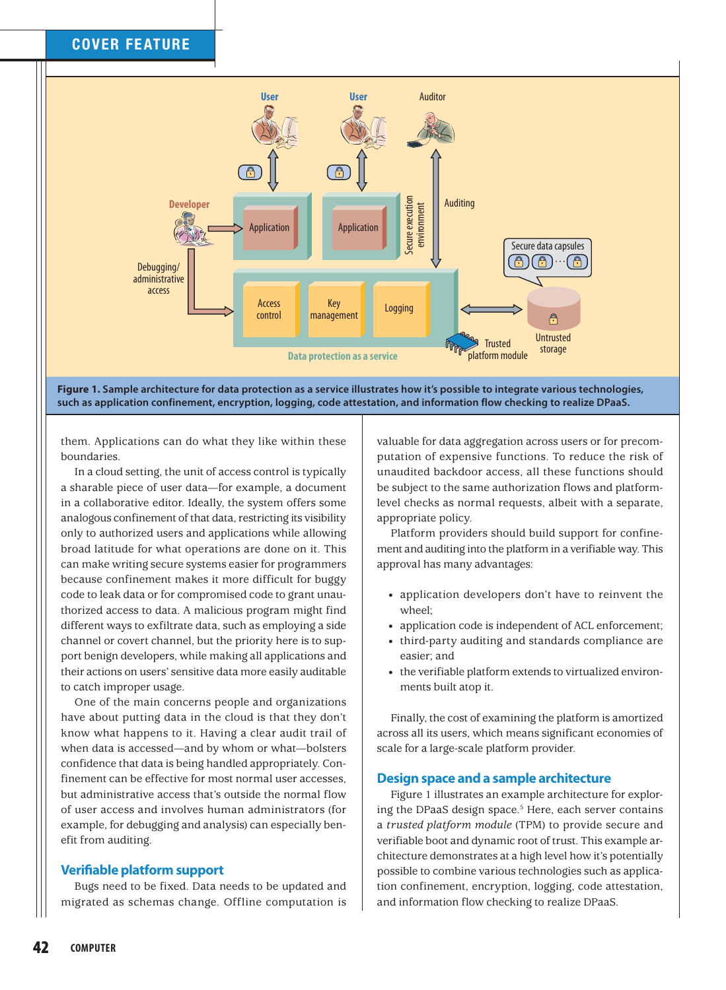# cover FEATURE



**Figure 1. Sample architecture for data protection as a service illustrates how it's possible to integrate various technologies, such as application confinement, encryption, logging, code attestation, and information flow checking to realize DPaaS.**

them. Applications can do what they like within these boundaries.

In a cloud setting, the unit of access control is typically a sharable piece of user data—for example, a document in a collaborative editor. Ideally, the system offers some analogous confinement of that data, restricting its visibility only to authorized users and applications while allowing broad latitude for what operations are done on it. This can make writing secure systems easier for programmers because confinement makes it more difficult for buggy code to leak data or for compromised code to grant unauthorized access to data. A malicious program might find different ways to exfiltrate data, such as employing a side channel or covert channel, but the priority here is to support benign developers, while making all applications and their actions on users' sensitive data more easily auditable to catch improper usage.

One of the main concerns people and organizations have about putting data in the cloud is that they don't know what happens to it. Having a clear audit trail of when data is accessed—and by whom or what—bolsters confidence that data is being handled appropriately. Confinement can be effective for most normal user accesses, but administrative access that's outside the normal flow of user access and involves human administrators (for example, for debugging and analysis) can especially benefit from auditing.

#### **Verifiable platform support**

Bugs need to be fixed. Data needs to be updated and migrated as schemas change. Offline computation is valuable for data aggregation across users or for precomputation of expensive functions. To reduce the risk of unaudited backdoor access, all these functions should be subject to the same authorization flows and platformlevel checks as normal requests, albeit with a separate, appropriate policy.

Platform providers should build support for confinement and auditing into the platform in a verifiable way. This approval has many advantages:

- application developers don't have to reinvent the wheel;
- application code is independent of ACL enforcement;
- third-party auditing and standards compliance are easier; and
- the verifiable platform extends to virtualized environments built atop it.

Finally, the cost of examining the platform is amortized across all its users, which means significant economies of scale for a large-scale platform provider.

#### **Design space and a sample architecture**

Figure 1 illustrates an example architecture for exploring the DPaaS design space.<sup>5</sup> Here, each server contains a *trusted platform module* (TPM) to provide secure and verifiable boot and dynamic root of trust. This example architecture demonstrates at a high level how it's potentially possible to combine various technologies such as application confinement, encryption, logging, code attestation, and information flow checking to realize DPaaS.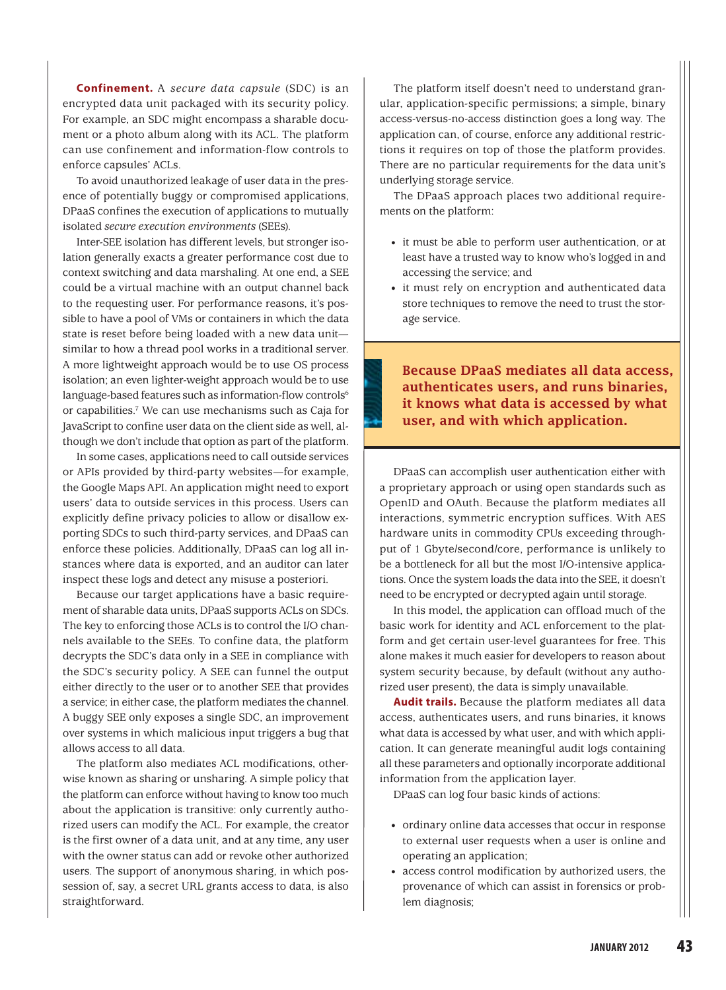**Confinement.** A *secure data capsule* (SDC) is an encrypted data unit packaged with its security policy. For example, an SDC might encompass a sharable document or a photo album along with its ACL. The platform can use confinement and information-flow controls to enforce capsules' ACLs.

To avoid unauthorized leakage of user data in the presence of potentially buggy or compromised applications, DPaaS confines the execution of applications to mutually isolated *secure execution environments* (SEEs).

Inter-SEE isolation has different levels, but stronger isolation generally exacts a greater performance cost due to context switching and data marshaling. At one end, a SEE could be a virtual machine with an output channel back to the requesting user. For performance reasons, it's possible to have a pool of VMs or containers in which the data state is reset before being loaded with a new data unit similar to how a thread pool works in a traditional server. A more lightweight approach would be to use OS process isolation; an even lighter-weight approach would be to use language-based features such as information-flow controls<sup>6</sup> or capabilities.7 We can use mechanisms such as Caja for JavaScript to confine user data on the client side as well, although we don't include that option as part of the platform.

In some cases, applications need to call outside services or APIs provided by third-party websites—for example, the Google Maps API. An application might need to export users' data to outside services in this process. Users can explicitly define privacy policies to allow or disallow exporting SDCs to such third-party services, and DPaaS can enforce these policies. Additionally, DPaaS can log all instances where data is exported, and an auditor can later inspect these logs and detect any misuse a posteriori.

Because our target applications have a basic requirement of sharable data units, DPaaS supports ACLs on SDCs. The key to enforcing those ACLs is to control the I/O channels available to the SEEs. To confine data, the platform decrypts the SDC's data only in a SEE in compliance with the SDC's security policy. A SEE can funnel the output either directly to the user or to another SEE that provides a service; in either case, the platform mediates the channel. A buggy SEE only exposes a single SDC, an improvement over systems in which malicious input triggers a bug that allows access to all data.

The platform also mediates ACL modifications, otherwise known as sharing or unsharing. A simple policy that the platform can enforce without having to know too much about the application is transitive: only currently authorized users can modify the ACL. For example, the creator is the first owner of a data unit, and at any time, any user with the owner status can add or revoke other authorized users. The support of anonymous sharing, in which possession of, say, a secret URL grants access to data, is also straightforward.

The platform itself doesn't need to understand granular, application-specific permissions; a simple, binary access-versus-no-access distinction goes a long way. The application can, of course, enforce any additional restrictions it requires on top of those the platform provides. There are no particular requirements for the data unit's underlying storage service.

The DPaaS approach places two additional requirements on the platform:

- it must be able to perform user authentication, or at least have a trusted way to know who's logged in and accessing the service; and
- it must rely on encryption and authenticated data store techniques to remove the need to trust the storage service.

Because DPaaS mediates all data access, authenticates users, and runs binaries, it knows what data is accessed by what user, and with which application.

DPaaS can accomplish user authentication either with a proprietary approach or using open standards such as OpenID and OAuth. Because the platform mediates all interactions, symmetric encryption suffices. With AES hardware units in commodity CPUs exceeding throughput of 1 Gbyte/second/core, performance is unlikely to be a bottleneck for all but the most I/O-intensive applications. Once the system loads the data into the SEE, it doesn't need to be encrypted or decrypted again until storage.

In this model, the application can offload much of the basic work for identity and ACL enforcement to the platform and get certain user-level guarantees for free. This alone makes it much easier for developers to reason about system security because, by default (without any authorized user present), the data is simply unavailable.

**Audit trails.** Because the platform mediates all data access, authenticates users, and runs binaries, it knows what data is accessed by what user, and with which application. It can generate meaningful audit logs containing all these parameters and optionally incorporate additional information from the application layer.

DPaaS can log four basic kinds of actions:

- ordinary online data accesses that occur in response to external user requests when a user is online and operating an application;
- access control modification by authorized users, the provenance of which can assist in forensics or problem diagnosis;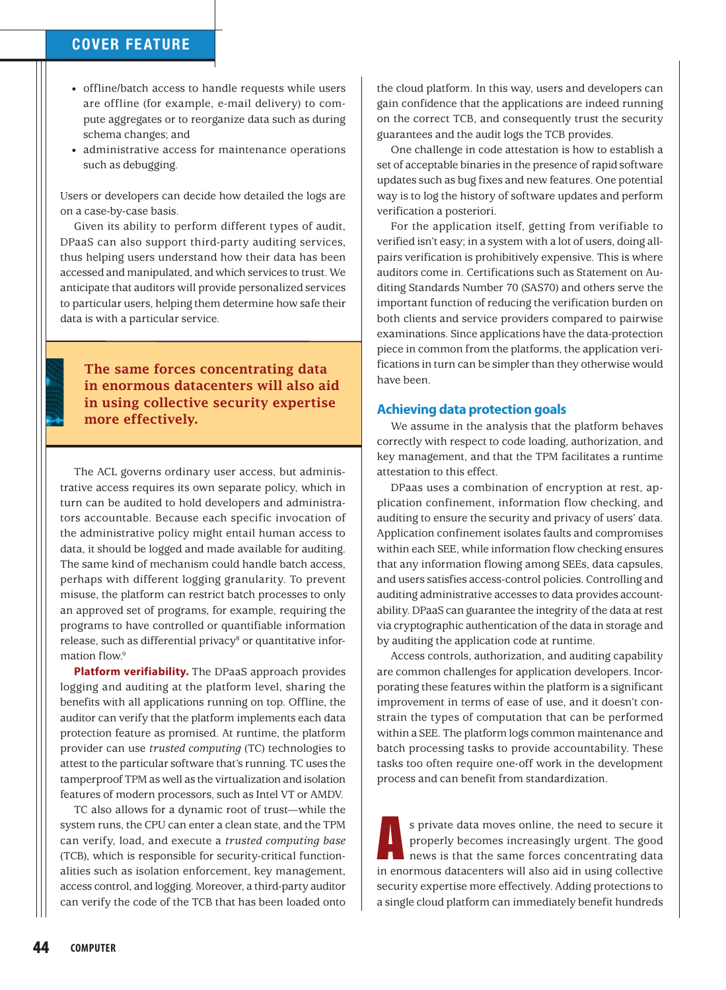# cover FEATURE

- offline/batch access to handle requests while users are offline (for example, e-mail delivery) to compute aggregates or to reorganize data such as during schema changes; and
- administrative access for maintenance operations such as debugging.

Users or developers can decide how detailed the logs are on a case-by-case basis.

Given its ability to perform different types of audit, DPaaS can also support third-party auditing services, thus helping users understand how their data has been accessed and manipulated, and which services to trust. We anticipate that auditors will provide personalized services to particular users, helping them determine how safe their data is with a particular service.

The same forces concentrating data in enormous datacenters will also aid in using collective security expertise more effectively.

The ACL governs ordinary user access, but administrative access requires its own separate policy, which in turn can be audited to hold developers and administrators accountable. Because each specific invocation of the administrative policy might entail human access to data, it should be logged and made available for auditing. The same kind of mechanism could handle batch access, perhaps with different logging granularity. To prevent misuse, the platform can restrict batch processes to only an approved set of programs, for example, requiring the programs to have controlled or quantifiable information release, such as differential privacy<sup>8</sup> or quantitative information flow.<sup>9</sup>

**Platform verifiability.** The DPaaS approach provides logging and auditing at the platform level, sharing the benefits with all applications running on top. Offline, the auditor can verify that the platform implements each data protection feature as promised. At runtime, the platform provider can use *trusted computing* (TC) technologies to attest to the particular software that's running. TC uses the tamperproof TPM as well as the virtualization and isolation features of modern processors, such as Intel VT or AMDV.

TC also allows for a dynamic root of trust—while the system runs, the CPU can enter a clean state, and the TPM can verify, load, and execute a *trusted computing base* (TCB), which is responsible for security-critical functionalities such as isolation enforcement, key management, access control, and logging. Moreover, a third-party auditor can verify the code of the TCB that has been loaded onto

the cloud platform. In this way, users and developers can gain confidence that the applications are indeed running on the correct TCB, and consequently trust the security guarantees and the audit logs the TCB provides.

One challenge in code attestation is how to establish a set of acceptable binaries in the presence of rapid software updates such as bug fixes and new features. One potential way is to log the history of software updates and perform verification a posteriori.

For the application itself, getting from verifiable to verified isn't easy; in a system with a lot of users, doing allpairs verification is prohibitively expensive. This is where auditors come in. Certifications such as Statement on Auditing Standards Number 70 (SAS70) and others serve the important function of reducing the verification burden on both clients and service providers compared to pairwise examinations. Since applications have the data-protection piece in common from the platforms, the application verifications in turn can be simpler than they otherwise would have been.

#### **Achieving data protection goals**

We assume in the analysis that the platform behaves correctly with respect to code loading, authorization, and key management, and that the TPM facilitates a runtime attestation to this effect.

DPaas uses a combination of encryption at rest, application confinement, information flow checking, and auditing to ensure the security and privacy of users' data. Application confinement isolates faults and compromises within each SEE, while information flow checking ensures that any information flowing among SEEs, data capsules, and users satisfies access-control policies. Controlling and auditing administrative accesses to data provides accountability. DPaaS can guarantee the integrity of the data at rest via cryptographic authentication of the data in storage and by auditing the application code at runtime.

Access controls, authorization, and auditing capability are common challenges for application developers. Incorporating these features within the platform is a significant improvement in terms of ease of use, and it doesn't constrain the types of computation that can be performed within a SEE. The platform logs common maintenance and batch processing tasks to provide accountability. These tasks too often require one-off work in the development process and can benefit from standardization.

s private data moves online, the need to secure it<br>
properly becomes increasingly urgent. The good<br>
news is that the same forces concentrating data<br>
is an amount of the same forces in the same following<br>
seller properly becomes increasingly urgent. The good in enormous datacenters will also aid in using collective security expertise more effectively. Adding protections to a single cloud platform can immediately benefit hundreds